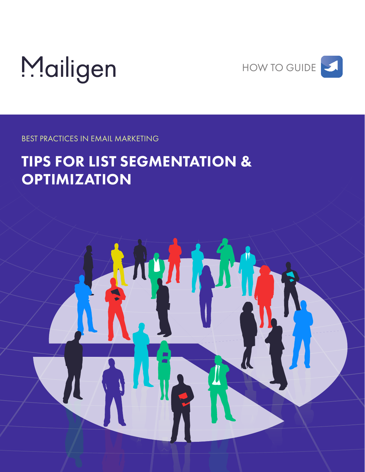



BEST PRACTICES IN EMAIL MARKETING

# TIPS FOR LIST SEGMENTATION & **OPTIMIZATION**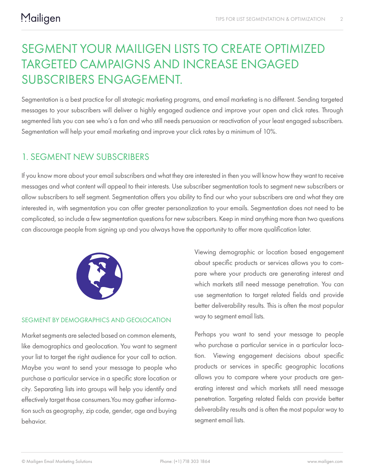## SEGMENT YOUR MAILIGEN LISTS TO CREATE OPTIMIZED TARGETED CAMPAIGNS AND INCREASE ENGAGED SUBSCRIBERS ENGAGEMENT.

Segmentation is a best practice for all strategic marketing programs, and email marketing is no different. Sending targeted messages to your subscribers will deliver a highly engaged audience and improve your open and click rates. Through segmented lists you can see who's a fan and who still needs persuasion or reactivation of your least engaged subscribers. Segmentation will help your email marketing and improve your click rates by a minimum of 10%.

### 1. SEGMENT NEW SUBSCRIBERS

If you know more about your email subscribers and what they are interested in then you will know how they want to receive messages and what content will appeal to their interests. Use subscriber segmentation tools to segment new subscribers or allow subscribers to self segment. Segmentation offers you ability to find our who your subscribers are and what they are interested in, with segmentation you can offer greater personalization to your emails. Segmentation does not need to be complicated, so include a few segmentation questions for new subscribers. Keep in mind anything more than two questions can discourage people from signing up and you always have the opportunity to offer more qualification later.



#### SEGMENT BY DEMOGRAPHICS AND GEOLOCATION

Market segments are selected based on common elements, like demographics and geolocation. You want to segment your list to target the right audience for your call to action. Maybe you want to send your message to people who purchase a particular service in a specific store location or city. Separating lists into groups will help you identify and effectively target those consumers.You may gather information such as geography, zip code, gender, age and buying behavior.

Viewing demographic or location based engagement about specific products or services allows you to compare where your products are generating interest and which markets still need message penetration. You can use segmentation to target related fields and provide better deliverability results. This is often the most popular way to segment email lists.

Perhaps you want to send your message to people who purchase a particular service in a particular location. Viewing engagement decisions about specific products or services in specific geographic locations allows you to compare where your products are generating interest and which markets still need message penetration. Targeting related fields can provide better deliverability results and is often the most popular way to segment email lists.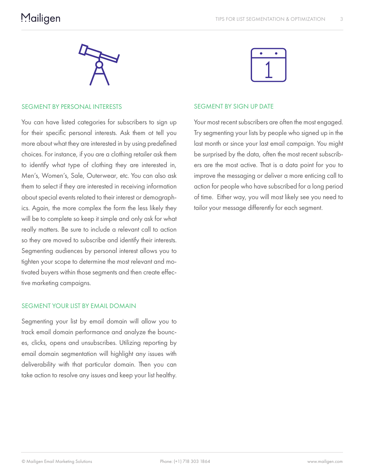

#### SEGMENT BY PERSONAL INTERESTS

You can have listed categories for subscribers to sign up for their specific personal interests. Ask them ot tell you more about what they are interested in by using predefined choices. For instance, if you are a clothing retailer ask them to identify what type of clothing they are interested in, Men's, Women's, Sale, Outerwear, etc. You can also ask them to select if they are interested in receiving information about special events related to their interest or demographics. Again, the more complex the form the less likely they will be to complete so keep it simple and only ask for what really matters. Be sure to include a relevant call to action so they are moved to subscribe and identify their interests. Segmenting audiences by personal interest allows you to tighten your scope to determine the most relevant and motivated buyers within those segments and then create effective marketing campaigns.

#### SEGMENT YOUR LIST BY EMAIL DOMAIN

Segmenting your list by email domain will allow you to track email domain performance and analyze the bounces, clicks, opens and unsubscribes. Utilizing reporting by email domain segmentation will highlight any issues with deliverability with that particular domain. Then you can take action to resolve any issues and keep your list healthy.



#### SEGMENT BY SIGN UP DATE

Your most recent subscribers are often the most engaged. Try segmenting your lists by people who signed up in the last month or since your last email campaign. You might be surprised by the data, often the most recent subscribers are the most active. That is a data point for you to improve the messaging or deliver a more enticing call to action for people who have subscribed for a long period of time. Either way, you will most likely see you need to tailor your message differently for each segment.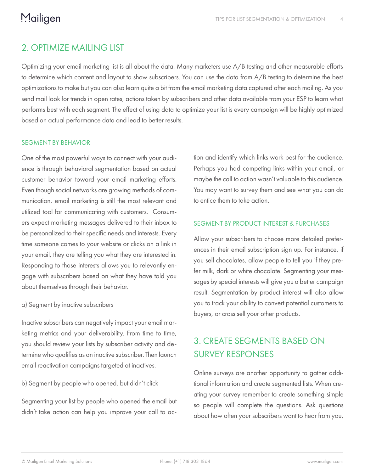## 2. OPTIMIZE MAILING LIST

Optimizing your email marketing list is all about the data. Many marketers use A/B testing and other measurable efforts to determine which content and layout to show subscribers. You can use the data from A/B testing to determine the best optimizations to make but you can also learn quite a bit from the email marketing data captured after each mailing. As you send mail look for trends in open rates, actions taken by subscribers and other data available from your ESP to learn what performs best with each segment. The effect of using data to optimize your list is every campaign will be highly optimized based on actual performance data and lead to better results.

#### SEGMENT BY BEHAVIOR

One of the most powerful ways to connect with your audience is through behavioral segmentation based on actual customer behavior toward your email marketing efforts. Even though social networks are growing methods of communication, email marketing is still the most relevant and utilized tool for communicating with customers. Consumers expect marketing messages delivered to their inbox to be personalized to their specific needs and interests. Every time someone comes to your website or clicks on a link in your email, they are telling you what they are interested in. Responding to those interests allows you to relevantly engage with subscribers based on what they have told you about themselves through their behavior.

#### a) Segment by inactive subscribers

Inactive subscribers can negatively impact your email marketing metrics and your deliverability. From time to time, you should review your lists by subscriber activity and determine who qualifies as an inactive subscriber. Then launch email reactivation campaigns targeted at inactives.

#### b) Segment by people who opened, but didn't click

Segmenting your list by people who opened the email but didn't take action can help you improve your call to action and identify which links work best for the audience. Perhaps you had competing links within your email, or maybe the call to action wasn't valuable to this audience. You may want to survey them and see what you can do to entice them to take action.

#### SEGMENT BY PRODUCT INTEREST & PURCHASES

Allow your subscribers to choose more detailed preferences in their email subscription sign up. For instance, if you sell chocolates, allow people to tell you if they prefer milk, dark or white chocolate. Segmenting your messages by special interests will give you a better campaign result. Segmentation by product interest will also allow you to track your ability to convert potential customers to buyers, or cross sell your other products.

## 3. CREATE SEGMENTS BASED ON SURVEY RESPONSES

Online surveys are another opportunity to gather additional information and create segmented lists. When creating your survey remember to create something simple so people will complete the questions. Ask questions about how often your subscribers want to hear from you,